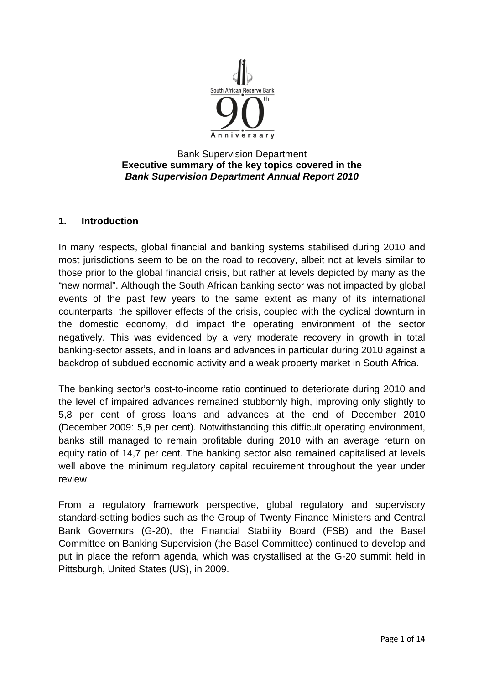

#### Bank Supervision Department **Executive summary of the key topics covered in the**  *Bank Supervision Department Annual Report 2010*

#### **1. Introduction**

In many respects, global financial and banking systems stabilised during 2010 and most jurisdictions seem to be on the road to recovery, albeit not at levels similar to those prior to the global financial crisis, but rather at levels depicted by many as the "new normal". Although the South African banking sector was not impacted by global events of the past few years to the same extent as many of its international counterparts, the spillover effects of the crisis, coupled with the cyclical downturn in the domestic economy, did impact the operating environment of the sector negatively. This was evidenced by a very moderate recovery in growth in total banking-sector assets, and in loans and advances in particular during 2010 against a backdrop of subdued economic activity and a weak property market in South Africa.

The banking sector's cost-to-income ratio continued to deteriorate during 2010 and the level of impaired advances remained stubbornly high, improving only slightly to 5,8 per cent of gross loans and advances at the end of December 2010 (December 2009: 5,9 per cent). Notwithstanding this difficult operating environment, banks still managed to remain profitable during 2010 with an average return on equity ratio of 14,7 per cent. The banking sector also remained capitalised at levels well above the minimum regulatory capital requirement throughout the year under review.

From a regulatory framework perspective, global regulatory and supervisory standard-setting bodies such as the Group of Twenty Finance Ministers and Central Bank Governors (G-20), the Financial Stability Board (FSB) and the Basel Committee on Banking Supervision (the Basel Committee) continued to develop and put in place the reform agenda, which was crystallised at the G-20 summit held in Pittsburgh, United States (US), in 2009.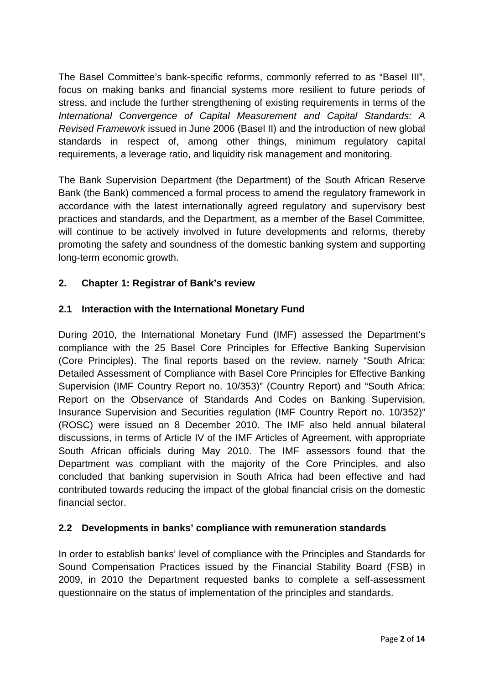The Basel Committee's bank-specific reforms, commonly referred to as "Basel III", focus on making banks and financial systems more resilient to future periods of stress, and include the further strengthening of existing requirements in terms of the *International Convergence of Capital Measurement and Capital Standards: A Revised Framework* issued in June 2006 (Basel II) and the introduction of new global standards in respect of, among other things, minimum regulatory capital requirements, a leverage ratio, and liquidity risk management and monitoring.

The Bank Supervision Department (the Department) of the South African Reserve Bank (the Bank) commenced a formal process to amend the regulatory framework in accordance with the latest internationally agreed regulatory and supervisory best practices and standards, and the Department, as a member of the Basel Committee, will continue to be actively involved in future developments and reforms, thereby promoting the safety and soundness of the domestic banking system and supporting long-term economic growth.

# **2. Chapter 1: Registrar of Bank's review**

### **2.1 Interaction with the International Monetary Fund**

During 2010, the International Monetary Fund (IMF) assessed the Department's compliance with the 25 Basel Core Principles for Effective Banking Supervision (Core Principles). The final reports based on the review, namely "South Africa: Detailed Assessment of Compliance with Basel Core Principles for Effective Banking Supervision (IMF Country Report no. 10/353)" (Country Report) and "South Africa: Report on the Observance of Standards And Codes on Banking Supervision, Insurance Supervision and Securities regulation (IMF Country Report no. 10/352)" (ROSC) were issued on 8 December 2010. The IMF also held annual bilateral discussions, in terms of Article IV of the IMF Articles of Agreement, with appropriate South African officials during May 2010. The IMF assessors found that the Department was compliant with the majority of the Core Principles, and also concluded that banking supervision in South Africa had been effective and had contributed towards reducing the impact of the global financial crisis on the domestic financial sector.

### **2.2 Developments in banks' compliance with remuneration standards**

In order to establish banks' level of compliance with the Principles and Standards for Sound Compensation Practices issued by the Financial Stability Board (FSB) in 2009, in 2010 the Department requested banks to complete a self-assessment questionnaire on the status of implementation of the principles and standards.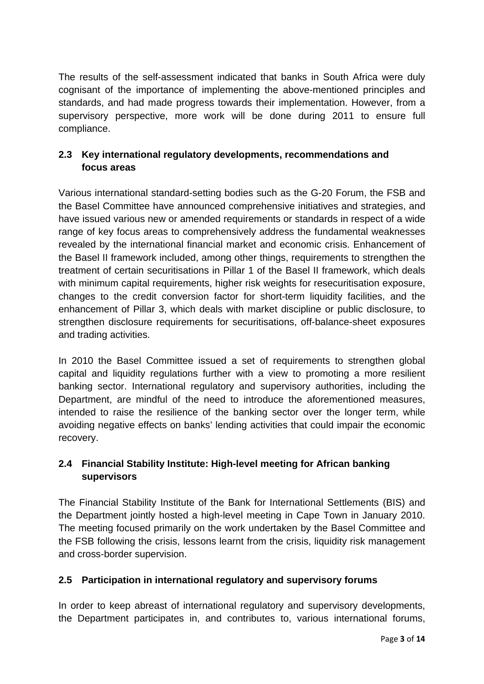The results of the self-assessment indicated that banks in South Africa were duly cognisant of the importance of implementing the above-mentioned principles and standards, and had made progress towards their implementation. However, from a supervisory perspective, more work will be done during 2011 to ensure full compliance.

# **2.3 Key international regulatory developments, recommendations and focus areas**

Various international standard-setting bodies such as the G-20 Forum, the FSB and the Basel Committee have announced comprehensive initiatives and strategies, and have issued various new or amended requirements or standards in respect of a wide range of key focus areas to comprehensively address the fundamental weaknesses revealed by the international financial market and economic crisis. Enhancement of the Basel II framework included, among other things, requirements to strengthen the treatment of certain securitisations in Pillar 1 of the Basel II framework, which deals with minimum capital requirements, higher risk weights for resecuritisation exposure, changes to the credit conversion factor for short-term liquidity facilities, and the enhancement of Pillar 3, which deals with market discipline or public disclosure, to strengthen disclosure requirements for securitisations, off-balance-sheet exposures and trading activities.

In 2010 the Basel Committee issued a set of requirements to strengthen global capital and liquidity regulations further with a view to promoting a more resilient banking sector. International regulatory and supervisory authorities, including the Department, are mindful of the need to introduce the aforementioned measures, intended to raise the resilience of the banking sector over the longer term, while avoiding negative effects on banks' lending activities that could impair the economic recovery.

# **2.4 Financial Stability Institute: High-level meeting for African banking supervisors**

The Financial Stability Institute of the Bank for International Settlements (BIS) and the Department jointly hosted a high-level meeting in Cape Town in January 2010. The meeting focused primarily on the work undertaken by the Basel Committee and the FSB following the crisis, lessons learnt from the crisis, liquidity risk management and cross-border supervision.

# **2.5 Participation in international regulatory and supervisory forums**

In order to keep abreast of international regulatory and supervisory developments, the Department participates in, and contributes to, various international forums,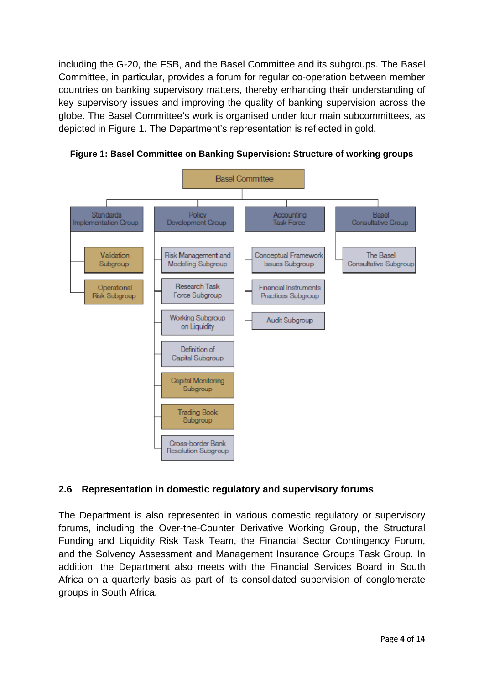including the G-20, the FSB, and the Basel Committee and its subgroups. The Basel Committee, in particular, provides a forum for regular co-operation between member countries on banking supervisory matters, thereby enhancing their understanding of key supervisory issues and improving the quality of banking supervision across the globe. The Basel Committee's work is organised under four main subcommittees, as depicted in Figure 1. The Department's representation is reflected in gold.



**Figure 1: Basel Committee on Banking Supervision: Structure of working groups** 

### **2.6 Representation in domestic regulatory and supervisory forums**

The Department is also represented in various domestic regulatory or supervisory forums, including the Over-the-Counter Derivative Working Group, the Structural Funding and Liquidity Risk Task Team, the Financial Sector Contingency Forum, and the Solvency Assessment and Management Insurance Groups Task Group. In addition, the Department also meets with the Financial Services Board in South Africa on a quarterly basis as part of its consolidated supervision of conglomerate groups in South Africa.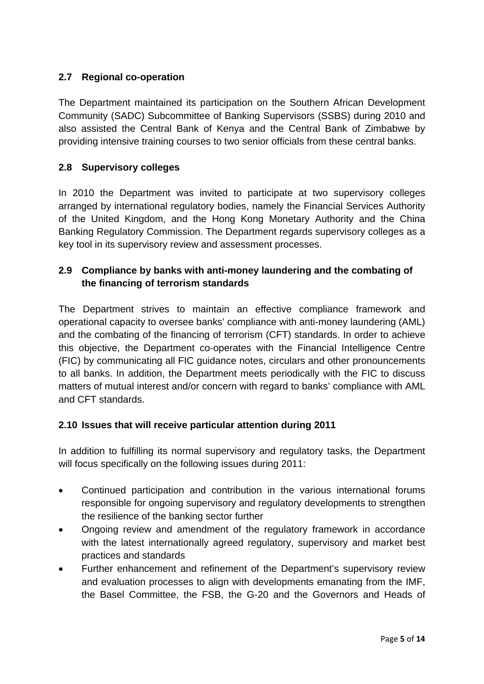# **2.7 Regional co-operation**

The Department maintained its participation on the Southern African Development Community (SADC) Subcommittee of Banking Supervisors (SSBS) during 2010 and also assisted the Central Bank of Kenya and the Central Bank of Zimbabwe by providing intensive training courses to two senior officials from these central banks.

## **2.8 Supervisory colleges**

In 2010 the Department was invited to participate at two supervisory colleges arranged by international regulatory bodies, namely the Financial Services Authority of the United Kingdom, and the Hong Kong Monetary Authority and the China Banking Regulatory Commission. The Department regards supervisory colleges as a key tool in its supervisory review and assessment processes.

## **2.9 Compliance by banks with anti-money laundering and the combating of the financing of terrorism standards**

The Department strives to maintain an effective compliance framework and operational capacity to oversee banks' compliance with anti-money laundering (AML) and the combating of the financing of terrorism (CFT) standards. In order to achieve this objective, the Department co-operates with the Financial Intelligence Centre (FIC) by communicating all FIC guidance notes, circulars and other pronouncements to all banks. In addition, the Department meets periodically with the FIC to discuss matters of mutual interest and/or concern with regard to banks' compliance with AML and CFT standards.

### **2.10 Issues that will receive particular attention during 2011**

In addition to fulfilling its normal supervisory and regulatory tasks, the Department will focus specifically on the following issues during 2011:

- Continued participation and contribution in the various international forums responsible for ongoing supervisory and regulatory developments to strengthen the resilience of the banking sector further
- Ongoing review and amendment of the regulatory framework in accordance with the latest internationally agreed regulatory, supervisory and market best practices and standards
- Further enhancement and refinement of the Department's supervisory review and evaluation processes to align with developments emanating from the IMF, the Basel Committee, the FSB, the G-20 and the Governors and Heads of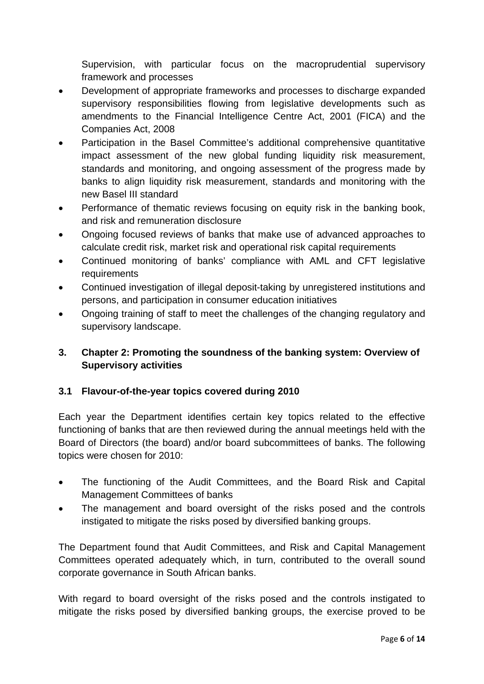Supervision, with particular focus on the macroprudential supervisory framework and processes

- Development of appropriate frameworks and processes to discharge expanded supervisory responsibilities flowing from legislative developments such as amendments to the Financial Intelligence Centre Act, 2001 (FICA) and the Companies Act, 2008
- Participation in the Basel Committee's additional comprehensive quantitative impact assessment of the new global funding liquidity risk measurement, standards and monitoring, and ongoing assessment of the progress made by banks to align liquidity risk measurement, standards and monitoring with the new Basel III standard
- Performance of thematic reviews focusing on equity risk in the banking book, and risk and remuneration disclosure
- Ongoing focused reviews of banks that make use of advanced approaches to calculate credit risk, market risk and operational risk capital requirements
- Continued monitoring of banks' compliance with AML and CFT legislative requirements
- Continued investigation of illegal deposit-taking by unregistered institutions and persons, and participation in consumer education initiatives
- Ongoing training of staff to meet the challenges of the changing regulatory and supervisory landscape.

# **3. Chapter 2: Promoting the soundness of the banking system: Overview of Supervisory activities**

# **3.1 Flavour-of-the-year topics covered during 2010**

Each year the Department identifies certain key topics related to the effective functioning of banks that are then reviewed during the annual meetings held with the Board of Directors (the board) and/or board subcommittees of banks. The following topics were chosen for 2010:

- The functioning of the Audit Committees, and the Board Risk and Capital Management Committees of banks
- The management and board oversight of the risks posed and the controls instigated to mitigate the risks posed by diversified banking groups.

The Department found that Audit Committees, and Risk and Capital Management Committees operated adequately which, in turn, contributed to the overall sound corporate governance in South African banks.

With regard to board oversight of the risks posed and the controls instigated to mitigate the risks posed by diversified banking groups, the exercise proved to be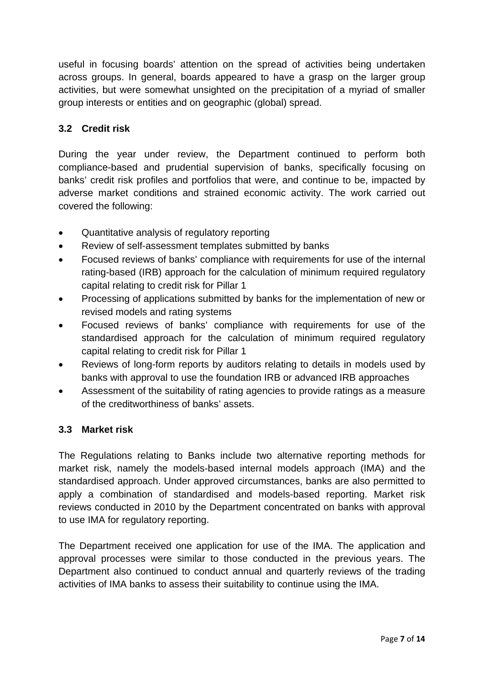useful in focusing boards' attention on the spread of activities being undertaken across groups. In general, boards appeared to have a grasp on the larger group activities, but were somewhat unsighted on the precipitation of a myriad of smaller group interests or entities and on geographic (global) spread.

# **3.2 Credit risk**

During the year under review, the Department continued to perform both compliance-based and prudential supervision of banks, specifically focusing on banks' credit risk profiles and portfolios that were, and continue to be, impacted by adverse market conditions and strained economic activity. The work carried out covered the following:

- Quantitative analysis of regulatory reporting
- Review of self-assessment templates submitted by banks
- Focused reviews of banks' compliance with requirements for use of the internal rating-based (IRB) approach for the calculation of minimum required regulatory capital relating to credit risk for Pillar 1
- Processing of applications submitted by banks for the implementation of new or revised models and rating systems
- Focused reviews of banks' compliance with requirements for use of the standardised approach for the calculation of minimum required regulatory capital relating to credit risk for Pillar 1
- Reviews of long-form reports by auditors relating to details in models used by banks with approval to use the foundation IRB or advanced IRB approaches
- Assessment of the suitability of rating agencies to provide ratings as a measure of the creditworthiness of banks' assets.

### **3.3 Market risk**

The Regulations relating to Banks include two alternative reporting methods for market risk, namely the models-based internal models approach (IMA) and the standardised approach. Under approved circumstances, banks are also permitted to apply a combination of standardised and models-based reporting. Market risk reviews conducted in 2010 by the Department concentrated on banks with approval to use IMA for regulatory reporting.

The Department received one application for use of the IMA. The application and approval processes were similar to those conducted in the previous years. The Department also continued to conduct annual and quarterly reviews of the trading activities of IMA banks to assess their suitability to continue using the IMA.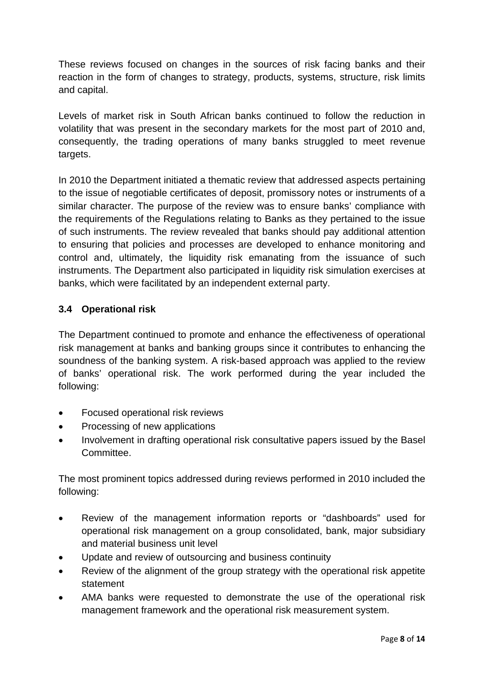These reviews focused on changes in the sources of risk facing banks and their reaction in the form of changes to strategy, products, systems, structure, risk limits and capital.

Levels of market risk in South African banks continued to follow the reduction in volatility that was present in the secondary markets for the most part of 2010 and, consequently, the trading operations of many banks struggled to meet revenue targets.

In 2010 the Department initiated a thematic review that addressed aspects pertaining to the issue of negotiable certificates of deposit, promissory notes or instruments of a similar character. The purpose of the review was to ensure banks' compliance with the requirements of the Regulations relating to Banks as they pertained to the issue of such instruments. The review revealed that banks should pay additional attention to ensuring that policies and processes are developed to enhance monitoring and control and, ultimately, the liquidity risk emanating from the issuance of such instruments. The Department also participated in liquidity risk simulation exercises at banks, which were facilitated by an independent external party.

# **3.4 Operational risk**

The Department continued to promote and enhance the effectiveness of operational risk management at banks and banking groups since it contributes to enhancing the soundness of the banking system. A risk-based approach was applied to the review of banks' operational risk. The work performed during the year included the following:

- Focused operational risk reviews
- Processing of new applications
- Involvement in drafting operational risk consultative papers issued by the Basel Committee.

The most prominent topics addressed during reviews performed in 2010 included the following:

- Review of the management information reports or "dashboards" used for operational risk management on a group consolidated, bank, major subsidiary and material business unit level
- Update and review of outsourcing and business continuity
- Review of the alignment of the group strategy with the operational risk appetite statement
- AMA banks were requested to demonstrate the use of the operational risk management framework and the operational risk measurement system.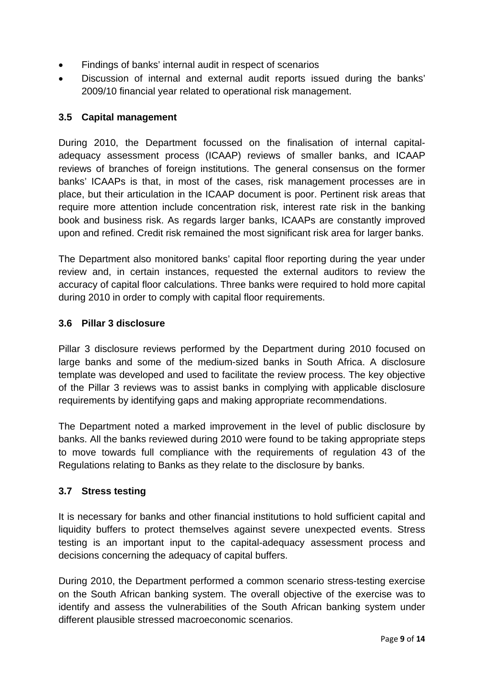- Findings of banks' internal audit in respect of scenarios
- Discussion of internal and external audit reports issued during the banks' 2009/10 financial year related to operational risk management.

### **3.5 Capital management**

During 2010, the Department focussed on the finalisation of internal capitaladequacy assessment process (ICAAP) reviews of smaller banks, and ICAAP reviews of branches of foreign institutions. The general consensus on the former banks' ICAAPs is that, in most of the cases, risk management processes are in place, but their articulation in the ICAAP document is poor. Pertinent risk areas that require more attention include concentration risk, interest rate risk in the banking book and business risk. As regards larger banks, ICAAPs are constantly improved upon and refined. Credit risk remained the most significant risk area for larger banks.

The Department also monitored banks' capital floor reporting during the year under review and, in certain instances, requested the external auditors to review the accuracy of capital floor calculations. Three banks were required to hold more capital during 2010 in order to comply with capital floor requirements.

### **3.6 Pillar 3 disclosure**

Pillar 3 disclosure reviews performed by the Department during 2010 focused on large banks and some of the medium-sized banks in South Africa. A disclosure template was developed and used to facilitate the review process. The key objective of the Pillar 3 reviews was to assist banks in complying with applicable disclosure requirements by identifying gaps and making appropriate recommendations.

The Department noted a marked improvement in the level of public disclosure by banks. All the banks reviewed during 2010 were found to be taking appropriate steps to move towards full compliance with the requirements of regulation 43 of the Regulations relating to Banks as they relate to the disclosure by banks.

### **3.7 Stress testing**

It is necessary for banks and other financial institutions to hold sufficient capital and liquidity buffers to protect themselves against severe unexpected events. Stress testing is an important input to the capital-adequacy assessment process and decisions concerning the adequacy of capital buffers.

During 2010, the Department performed a common scenario stress-testing exercise on the South African banking system. The overall objective of the exercise was to identify and assess the vulnerabilities of the South African banking system under different plausible stressed macroeconomic scenarios.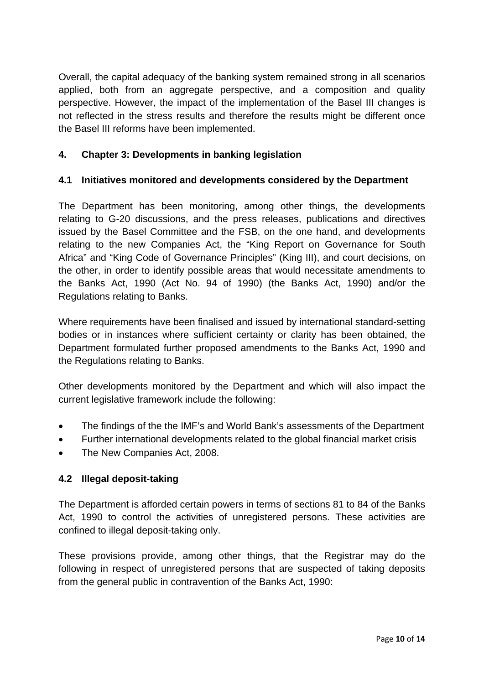Overall, the capital adequacy of the banking system remained strong in all scenarios applied, both from an aggregate perspective, and a composition and quality perspective. However, the impact of the implementation of the Basel III changes is not reflected in the stress results and therefore the results might be different once the Basel III reforms have been implemented.

## **4. Chapter 3: Developments in banking legislation**

### **4.1 Initiatives monitored and developments considered by the Department**

The Department has been monitoring, among other things, the developments relating to G-20 discussions, and the press releases, publications and directives issued by the Basel Committee and the FSB, on the one hand, and developments relating to the new Companies Act, the "King Report on Governance for South Africa" and "King Code of Governance Principles" (King III), and court decisions, on the other, in order to identify possible areas that would necessitate amendments to the Banks Act, 1990 (Act No. 94 of 1990) (the Banks Act, 1990) and/or the Regulations relating to Banks.

Where requirements have been finalised and issued by international standard-setting bodies or in instances where sufficient certainty or clarity has been obtained, the Department formulated further proposed amendments to the Banks Act, 1990 and the Regulations relating to Banks.

Other developments monitored by the Department and which will also impact the current legislative framework include the following:

- The findings of the the IMF's and World Bank's assessments of the Department
- Further international developments related to the global financial market crisis
- The New Companies Act, 2008.

### **4.2 Illegal deposit-taking**

The Department is afforded certain powers in terms of sections 81 to 84 of the Banks Act, 1990 to control the activities of unregistered persons. These activities are confined to illegal deposit-taking only.

These provisions provide, among other things, that the Registrar may do the following in respect of unregistered persons that are suspected of taking deposits from the general public in contravention of the Banks Act, 1990: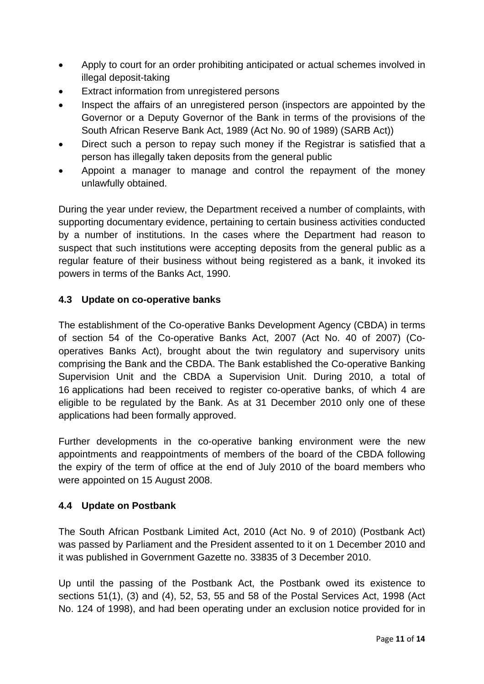- Apply to court for an order prohibiting anticipated or actual schemes involved in illegal deposit-taking
- Extract information from unregistered persons
- Inspect the affairs of an unregistered person (inspectors are appointed by the Governor or a Deputy Governor of the Bank in terms of the provisions of the South African Reserve Bank Act, 1989 (Act No. 90 of 1989) (SARB Act))
- Direct such a person to repay such money if the Registrar is satisfied that a person has illegally taken deposits from the general public
- Appoint a manager to manage and control the repayment of the money unlawfully obtained.

During the year under review, the Department received a number of complaints, with supporting documentary evidence, pertaining to certain business activities conducted by a number of institutions. In the cases where the Department had reason to suspect that such institutions were accepting deposits from the general public as a regular feature of their business without being registered as a bank, it invoked its powers in terms of the Banks Act, 1990.

### **4.3 Update on co-operative banks**

The establishment of the Co-operative Banks Development Agency (CBDA) in terms of section 54 of the Co-operative Banks Act, 2007 (Act No. 40 of 2007) (Cooperatives Banks Act), brought about the twin regulatory and supervisory units comprising the Bank and the CBDA. The Bank established the Co-operative Banking Supervision Unit and the CBDA a Supervision Unit. During 2010, a total of 16 applications had been received to register co-operative banks, of which 4 are eligible to be regulated by the Bank. As at 31 December 2010 only one of these applications had been formally approved.

Further developments in the co-operative banking environment were the new appointments and reappointments of members of the board of the CBDA following the expiry of the term of office at the end of July 2010 of the board members who were appointed on 15 August 2008.

### **4.4 Update on Postbank**

The South African Postbank Limited Act, 2010 (Act No. 9 of 2010) (Postbank Act) was passed by Parliament and the President assented to it on 1 December 2010 and it was published in Government Gazette no. 33835 of 3 December 2010.

Up until the passing of the Postbank Act, the Postbank owed its existence to sections 51(1), (3) and (4), 52, 53, 55 and 58 of the Postal Services Act, 1998 (Act No. 124 of 1998), and had been operating under an exclusion notice provided for in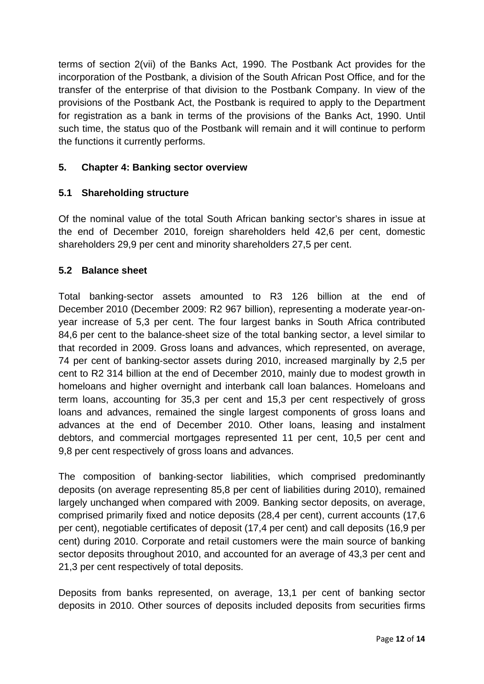terms of section 2(vii) of the Banks Act, 1990. The Postbank Act provides for the incorporation of the Postbank, a division of the South African Post Office, and for the transfer of the enterprise of that division to the Postbank Company. In view of the provisions of the Postbank Act, the Postbank is required to apply to the Department for registration as a bank in terms of the provisions of the Banks Act, 1990. Until such time, the status quo of the Postbank will remain and it will continue to perform the functions it currently performs.

## **5. Chapter 4: Banking sector overview**

### **5.1 Shareholding structure**

Of the nominal value of the total South African banking sector's shares in issue at the end of December 2010, foreign shareholders held 42,6 per cent, domestic shareholders 29,9 per cent and minority shareholders 27,5 per cent.

### **5.2 Balance sheet**

Total banking-sector assets amounted to R3 126 billion at the end of December 2010 (December 2009: R2 967 billion), representing a moderate year-onyear increase of 5,3 per cent. The four largest banks in South Africa contributed 84,6 per cent to the balance-sheet size of the total banking sector, a level similar to that recorded in 2009. Gross loans and advances, which represented, on average, 74 per cent of banking-sector assets during 2010, increased marginally by 2,5 per cent to R2 314 billion at the end of December 2010, mainly due to modest growth in homeloans and higher overnight and interbank call loan balances. Homeloans and term loans, accounting for 35,3 per cent and 15,3 per cent respectively of gross loans and advances, remained the single largest components of gross loans and advances at the end of December 2010. Other loans, leasing and instalment debtors, and commercial mortgages represented 11 per cent, 10,5 per cent and 9,8 per cent respectively of gross loans and advances.

The composition of banking-sector liabilities, which comprised predominantly deposits (on average representing 85,8 per cent of liabilities during 2010), remained largely unchanged when compared with 2009. Banking sector deposits, on average, comprised primarily fixed and notice deposits (28,4 per cent), current accounts (17,6 per cent), negotiable certificates of deposit (17,4 per cent) and call deposits (16,9 per cent) during 2010. Corporate and retail customers were the main source of banking sector deposits throughout 2010, and accounted for an average of 43,3 per cent and 21,3 per cent respectively of total deposits.

Deposits from banks represented, on average, 13,1 per cent of banking sector deposits in 2010. Other sources of deposits included deposits from securities firms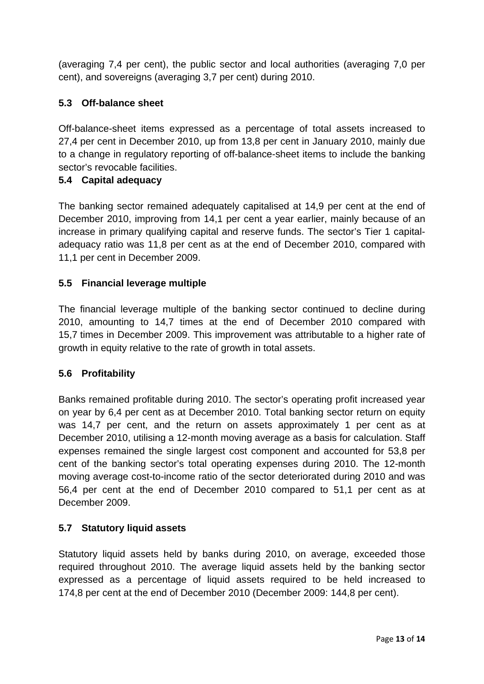(averaging 7,4 per cent), the public sector and local authorities (averaging 7,0 per cent), and sovereigns (averaging 3,7 per cent) during 2010.

## **5.3 Off-balance sheet**

Off-balance-sheet items expressed as a percentage of total assets increased to 27,4 per cent in December 2010, up from 13,8 per cent in January 2010, mainly due to a change in regulatory reporting of off-balance-sheet items to include the banking sector's revocable facilities.

### **5.4 Capital adequacy**

The banking sector remained adequately capitalised at 14,9 per cent at the end of December 2010, improving from 14,1 per cent a year earlier, mainly because of an increase in primary qualifying capital and reserve funds. The sector's Tier 1 capitaladequacy ratio was 11,8 per cent as at the end of December 2010, compared with 11,1 per cent in December 2009.

### **5.5 Financial leverage multiple**

The financial leverage multiple of the banking sector continued to decline during 2010, amounting to 14,7 times at the end of December 2010 compared with 15,7 times in December 2009. This improvement was attributable to a higher rate of growth in equity relative to the rate of growth in total assets.

### **5.6 Profitability**

Banks remained profitable during 2010. The sector's operating profit increased year on year by 6,4 per cent as at December 2010. Total banking sector return on equity was 14,7 per cent, and the return on assets approximately 1 per cent as at December 2010, utilising a 12-month moving average as a basis for calculation. Staff expenses remained the single largest cost component and accounted for 53,8 per cent of the banking sector's total operating expenses during 2010. The 12-month moving average cost-to-income ratio of the sector deteriorated during 2010 and was 56,4 per cent at the end of December 2010 compared to 51,1 per cent as at December 2009.

### **5.7 Statutory liquid assets**

Statutory liquid assets held by banks during 2010, on average, exceeded those required throughout 2010. The average liquid assets held by the banking sector expressed as a percentage of liquid assets required to be held increased to 174,8 per cent at the end of December 2010 (December 2009: 144,8 per cent).